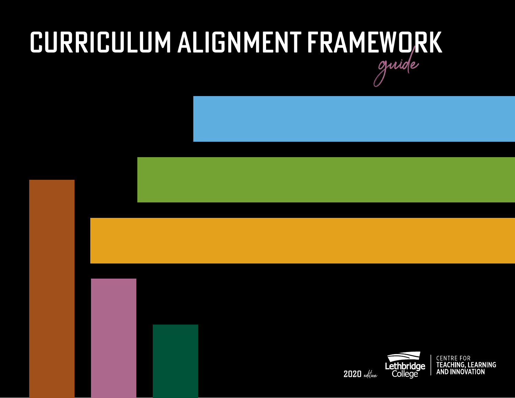# CURRICULUM ALIGNMENT FRAMEWORK guide

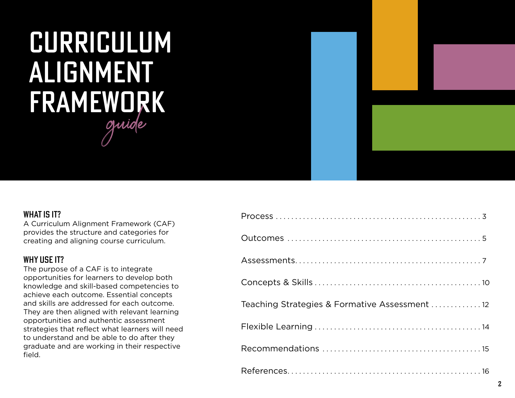# CURRICULUM ALIGNMENT FRAMEWORK guide

### WHAT IS IT?

A Curriculum Alignment Framework (CAF) provides the structure and categories for creating and aligning course curriculum.

## WHY USE IT?

The purpose of a CAF is to integrate opportunities for learners to develop both knowledge and skill-based competencies to achieve each outcome. Essential concepts and skills are addressed for each outcome. They are then aligned with relevant learning opportunities and authentic assessment strategies that reflect what learners will need to understand and be able to do after they graduate and are working in their respective field.

| Teaching Strategies & Formative Assessment  12 |
|------------------------------------------------|
|                                                |
|                                                |
|                                                |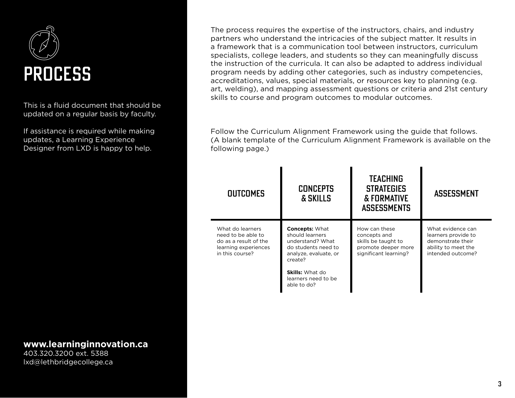

This is a fluid document that should be updated on a regular basis by faculty.

If assistance is required while making updates, a Learning Experience Designer from LXD is happy to help.

### **www.learninginnovation.ca**

403.320.3200 ext. 5388 lxd@lethbridgecollege.ca

The process requires the expertise of the instructors, chairs, and industry partners who understand the intricacies of the subject matter. It results in a framework that is a communication tool between instructors, curriculum specialists, college leaders, and students so they can meaningfully discuss the instruction of the curricula. It can also be adapted to address individual program needs by adding other categories, such as industry competencies, accreditations, values, special materials, or resources key to planning (e.g. art, welding), and mapping assessment questions or criteria and 21st century skills to course and program outcomes to modular outcomes.

Follow the Curriculum Alignment Framework using the guide that follows. (A blank template of the Curriculum Alignment Framework is available on the following page.)

| <b>OUTCOMES</b>                                                                                            | <b>CONCEPTS</b><br>& SKILLS                                                                                             | <b>TEACHING</b><br><b>STRATEGIES</b><br>& FORMATIVE<br><b>ASSESSMENTS</b>                            | <b>ASSESSMENT</b>                                                                                         |
|------------------------------------------------------------------------------------------------------------|-------------------------------------------------------------------------------------------------------------------------|------------------------------------------------------------------------------------------------------|-----------------------------------------------------------------------------------------------------------|
| What do learners<br>need to be able to<br>do as a result of the<br>learning experiences<br>in this course? | <b>Concepts: What</b><br>should learners<br>understand? What<br>do students need to<br>analyze, evaluate, or<br>create? | How can these<br>concepts and<br>skills be taught to<br>promote deeper more<br>significant learning? | What evidence can<br>learners provide to<br>demonstrate their<br>ability to meet the<br>intended outcome? |
|                                                                                                            | <b>Skills:</b> What do<br>learners need to be<br>able to do?                                                            |                                                                                                      |                                                                                                           |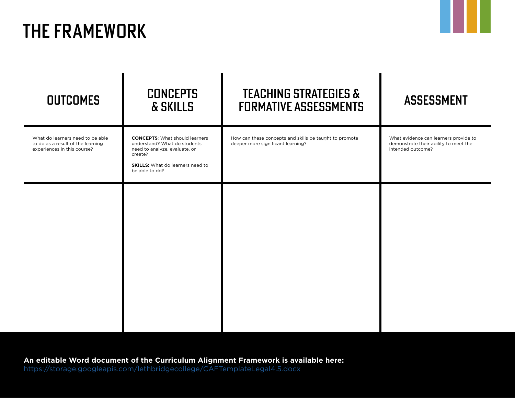# THE FRAMEWORK

| <b>OUTCOMES</b>                                                                                      | <b>CONCEPTS</b><br>& SKILLS                                                                                                                                                    | <b>TEACHING STRATEGIES &amp;</b><br><b>FORMATIVE ASSESSMENTS</b>                            | <b>ASSESSMENT</b>                                                                                   |
|------------------------------------------------------------------------------------------------------|--------------------------------------------------------------------------------------------------------------------------------------------------------------------------------|---------------------------------------------------------------------------------------------|-----------------------------------------------------------------------------------------------------|
| What do learners need to be able<br>to do as a result of the learning<br>experiences in this course? | <b>CONCEPTS:</b> What should learners<br>understand? What do students<br>need to analyze, evaluate, or<br>create?<br><b>SKILLS:</b> What do learners need to<br>be able to do? | How can these concepts and skills be taught to promote<br>deeper more significant learning? | What evidence can learners provide to<br>demonstrate their ability to meet the<br>intended outcome? |
|                                                                                                      |                                                                                                                                                                                |                                                                                             |                                                                                                     |
|                                                                                                      |                                                                                                                                                                                |                                                                                             |                                                                                                     |
|                                                                                                      |                                                                                                                                                                                |                                                                                             |                                                                                                     |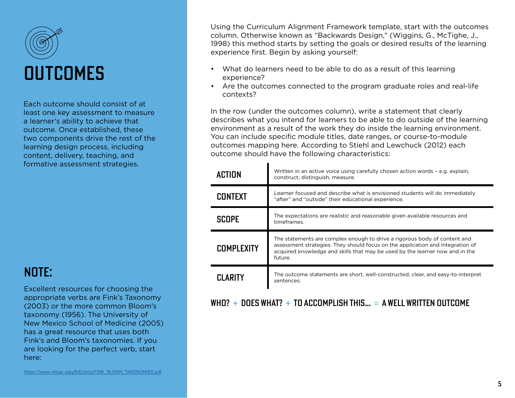

Each outcome should consist of at least one key assessment to measure a learner's ability to achieve that outcome. Once established, these two components drive the rest of the learning design process, including content, delivery, teaching, and formative assessment strategies.

## NOTE:

Excellent resources for choosing the appropriate verbs are Fink's Taxonomy (2003) or the more common Bloom's taxonomy (1956). The University of New Mexico School of Medicine (2005) has a great resource that uses both Fink's and Bloom's taxonomies. If you are looking for the perfect verb, start here:

Using the Curriculum Alignment Framework template, start with the outcomes column. Otherwise known as "Backwards Design," (Wiggins, G., McTighe, J., 1998) this method starts by setting the goals or desired results of the learning experience first. Begin by asking yourself:

- What do learners need to be able to do as a result of this learning experience?
- Are the outcomes connected to the program graduate roles and real-life contexts?

In the row (under the outcomes column), write a statement that clearly describes what you intend for learners to be able to do outside of the learning environment as a result of the work they do inside the learning environment. You can include specific module titles, date ranges, or course-to-module outcomes mapping here. According to Stiehl and Lewchuck (2012) each outcome should have the following characteristics:

| ACTION            | Written in an active voice using carefully chosen action words - e.g. explain,<br>construct, distinguish, measure.                                                                                                                                     |
|-------------------|--------------------------------------------------------------------------------------------------------------------------------------------------------------------------------------------------------------------------------------------------------|
| <b>CONTEXT</b>    | Learner focused and describe what is envisioned students will do immediately<br>"after" and "outside" their educational experience.                                                                                                                    |
| SCOPE             | The expectations are realistic and reasonable given available resources and<br>timeframes.                                                                                                                                                             |
| <b>COMPLEXITY</b> | The statements are complex enough to drive a rigorous body of content and<br>assessment strategies. They should focus on the application and integration of<br>acquired knowledge and skills that may be used by the learner now and in the<br>future. |
| <b>CI ARITY</b>   | The outcome statements are short, well-constructed, clear, and easy-to-interpret<br>sentences.                                                                                                                                                         |

## WHO?  $+$  DOES WHAT?  $+$  TO ACCOMPLISH THIS...  $=$  A WELL WRITTEN OUTCOME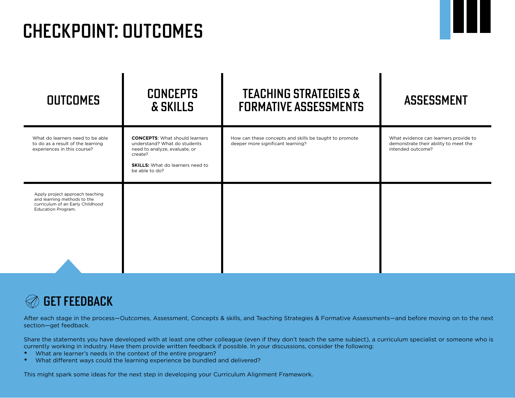# CHECKPOINT: OUTCOMES

| <b>OUTCOMES</b>                                                                                                          | <b>CONCEPTS</b><br>& SKILLS                                                                                                                                                    | <b>TEACHING STRATEGIES &amp;</b><br><b>FORMATIVE ASSESSMENTS</b>                            | <b>ASSESSMENT</b>                                                                                   |
|--------------------------------------------------------------------------------------------------------------------------|--------------------------------------------------------------------------------------------------------------------------------------------------------------------------------|---------------------------------------------------------------------------------------------|-----------------------------------------------------------------------------------------------------|
| What do learners need to be able<br>to do as a result of the learning<br>experiences in this course?                     | <b>CONCEPTS:</b> What should learners<br>understand? What do students<br>need to analyze, evaluate, or<br>create?<br><b>SKILLS:</b> What do learners need to<br>be able to do? | How can these concepts and skills be taught to promote<br>deeper more significant learning? | What evidence can learners provide to<br>demonstrate their ability to meet the<br>intended outcome? |
| Apply project approach teaching<br>and learning methods to the<br>curriculum of an Early Childhood<br>Education Program. |                                                                                                                                                                                |                                                                                             |                                                                                                     |



After each stage in the process-Outcomes, Assessment, Concepts & skills, and Teaching Strategies & Formative Assessments-and before moving on to the next section—get feedback.

Share the statements you have developed with at least one other colleague (even if they don't teach the same subject), a curriculum specialist or someone who is currently working in industry. Have them provide written feedback if possible. In your discussions, consider the following:

- What are learner's needs in the context of the entire program?
- What different ways could the learning experience be bundled and delivered?

This might spark some ideas for the next step in developing your Curriculum Alignment Framework.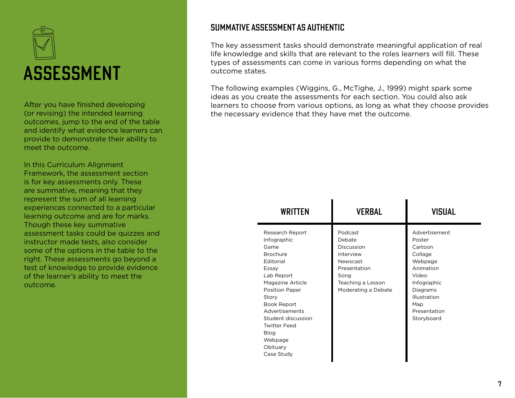

After you have finished developing (or revising) the intended learning outcomes, jump to the end of the table and identify what evidence learners can provide to demonstrate their ability to meet the outcome.

In this Curriculum Alignment Framework, the assessment section is for key assessments only. These are summative, meaning that they represent the sum of all learning experiences connected to a particular learning outcome and are for marks. Though these key summative assessment tasks could be quizzes and instructor made tests, also consider some of the options in the table to the right. These assessments go beyond a test of knowledge to provide evidence of the learner's ability to meet the outcome.

## SUMMATIVE ASSESSMENT AS AUTHENTIC

The key assessment tasks should demonstrate meaningful application of real life knowledge and skills that are relevant to the roles learners will fill. These types of assessments can come in various forms depending on what the outcome states.

The following examples (Wiggins, G., McTighe, J., 1999) might spark some ideas as you create the assessments for each section. You could also ask learners to choose from various options, as long as what they choose provides the necessary evidence that they have met the outcome.

| <b>WRITTEN</b>                                                                                                                                                                                                                                                                        | <b>VERBAL</b>                                                                                                                | <b>VISUAL</b>                                                                                                                                                         |
|---------------------------------------------------------------------------------------------------------------------------------------------------------------------------------------------------------------------------------------------------------------------------------------|------------------------------------------------------------------------------------------------------------------------------|-----------------------------------------------------------------------------------------------------------------------------------------------------------------------|
| Research Report<br>Infographic<br>Game<br><b>Brochure</b><br>Editorial<br>Essay<br>Lab Report<br>Magazine Article<br><b>Position Paper</b><br>Story<br><b>Book Report</b><br>Advertisements<br>Student discussion<br><b>Twitter Feed</b><br>Blog<br>Webpage<br>Obituary<br>Case Study | Podcast<br>Debate<br>Discussion<br>Interview<br>Newscast<br>Presentation<br>Song<br>Teaching a Lesson<br>Moderating a Debate | Advertisement<br>Poster<br>Cartoon<br>Collage<br>Webpage<br>Animation<br>Video<br>Infographic<br>Diagrams<br><b>Illustration</b><br>Map<br>Presentation<br>Storyboard |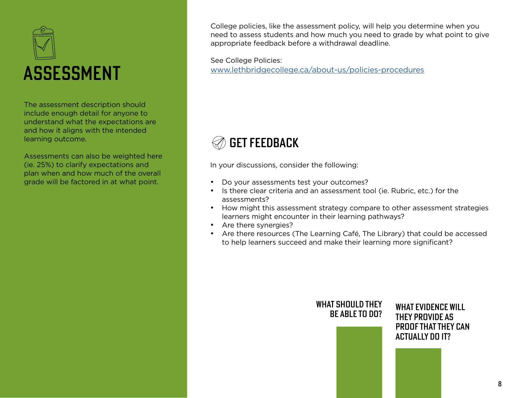

The assessment description should include enough detail for anyone to understand what the expectations are and how it aligns with the intended learning outcome.

Assessments can also be weighted here (ie. 25%) to clarify expectations and plan when and how much of the overall grade will be factored in at what point.

College policies, like the assessment policy, will help you determine when you need to assess students and how much you need to grade by what point to give appropriate feedback before a withdrawal deadline.

See College Policies: [www.lethbridgecollege.ca/about-us/policies-procedures](http://www.lethbridgecollege.ca/about-us/policies-procedures)

## GET FEEDBACK

In your discussions, consider the following:

- Do your assessments test your outcomes?
- Is there clear criteria and an assessment tool (ie. Rubric, etc.) for the assessments?
- How might this assessment strategy compare to other assessment strategies learners might encounter in their learning pathways?
- Are there synergies?
- Are there resources (The Learning Café, The Library) that could be accessed to help learners succeed and make their learning more significant?

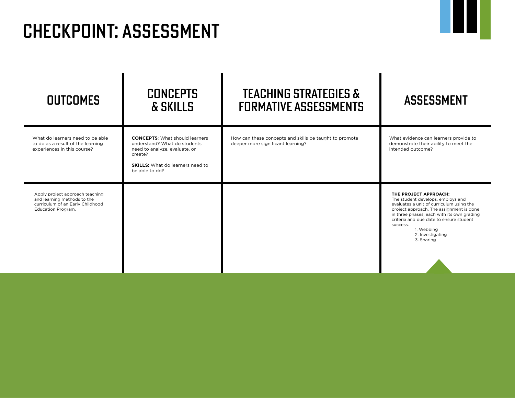# CHECKPOINT: ASSESSMENT

| <b>OUTCOMES</b>                                                                                                          | <b>CONCEPTS</b><br>& SKILLS                                                                                                                                                    | <b>TEACHING STRATEGIES &amp;</b><br><b>FORMATIVE ASSESSMENTS</b>                            | <b>ASSESSMENT</b>                                                                                                                                                                                                                                                                                       |
|--------------------------------------------------------------------------------------------------------------------------|--------------------------------------------------------------------------------------------------------------------------------------------------------------------------------|---------------------------------------------------------------------------------------------|---------------------------------------------------------------------------------------------------------------------------------------------------------------------------------------------------------------------------------------------------------------------------------------------------------|
| What do learners need to be able<br>to do as a result of the learning<br>experiences in this course?                     | <b>CONCEPTS:</b> What should learners<br>understand? What do students<br>need to analyze, evaluate, or<br>create?<br><b>SKILLS:</b> What do learners need to<br>be able to do? | How can these concepts and skills be taught to promote<br>deeper more significant learning? | What evidence can learners provide to<br>demonstrate their ability to meet the<br>intended outcome?                                                                                                                                                                                                     |
| Apply project approach teaching<br>and learning methods to the<br>curriculum of an Early Childhood<br>Education Program. |                                                                                                                                                                                |                                                                                             | THE PROJECT APPROACH:<br>The student develops, employs and<br>evaluates a unit of curriculum using the<br>project approach. The assignment is done<br>in three phases, each with its own grading<br>criteria and due date to ensure student<br>success.<br>1. Webbing<br>2. Investigating<br>3. Sharing |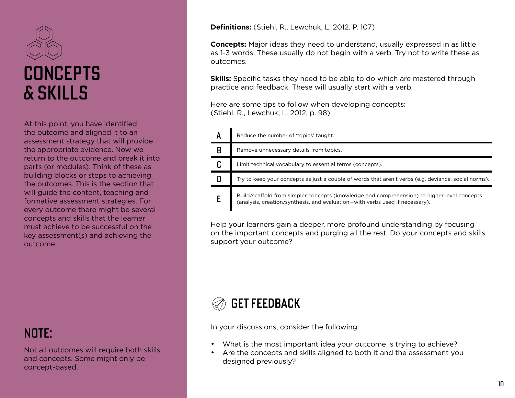

At this point, you have identified the outcome and aligned it to an assessment strategy that will provide the appropriate evidence. Now we return to the outcome and break it into parts (or modules). Think of these as building blocks or steps to achieving the outcomes. This is the section that will guide the content, teaching and formative assessment strategies. For every outcome there might be several concepts and skills that the learner must achieve to be successful on the key assessment(s) and achieving the outcome.

NOTE:

Not all outcomes will require both skills and concepts. Some might only be concept-based.

**Definitions:** (Stiehl, R., Lewchuk, L. 2012. P. 107)

**Concepts:** Major ideas they need to understand, usually expressed in as little as 1-3 words. These usually do not begin with a verb. Try not to write these as outcomes.

**Skills:** Specific tasks they need to be able to do which are mastered through practice and feedback. These will usually start with a verb.

Here are some tips to follow when developing concepts: (Stiehl, R., Lewchuk, L. 2012, p. 98)

| A | Reduce the number of 'topics' taught.                                                                                                                                       |
|---|-----------------------------------------------------------------------------------------------------------------------------------------------------------------------------|
| B | Remove unnecessary details from topics.                                                                                                                                     |
|   | Limit technical vocabulary to essential terms (concepts).                                                                                                                   |
|   | Try to keep your concepts as just a couple of words that aren't verbs (e.g. deviance, social norms).                                                                        |
|   | Build/scaffold from simpler concepts (knowledge and comprehension) to higher level concepts<br>(analysis, creation/synthesis, and evaluation—with verbs used if necessary). |

Help your learners gain a deeper, more profound understanding by focusing on the important concepts and purging all the rest. Do your concepts and skills support your outcome?



In your discussions, consider the following:

- What is the most important idea your outcome is trying to achieve?
- Are the concepts and skills aligned to both it and the assessment you designed previously?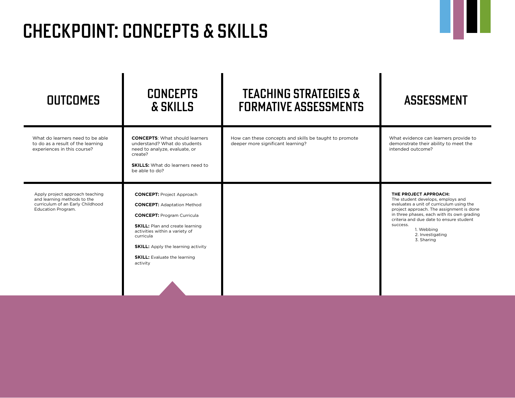# CHECKPOINT: CONCEPTS & SKILLS

| <b>OUTCOMES</b>                                                                                                          | <b>CONCEPTS</b><br>& SKILLS                                                                                                                                                                                                                                                                         | <b>TEACHING STRATEGIES &amp;</b><br><b>FORMATIVE ASSESSMENTS</b>                            | <b>ASSESSMENT</b>                                                                                                                                                                                                                                                                                       |
|--------------------------------------------------------------------------------------------------------------------------|-----------------------------------------------------------------------------------------------------------------------------------------------------------------------------------------------------------------------------------------------------------------------------------------------------|---------------------------------------------------------------------------------------------|---------------------------------------------------------------------------------------------------------------------------------------------------------------------------------------------------------------------------------------------------------------------------------------------------------|
| What do learners need to be able<br>to do as a result of the learning<br>experiences in this course?                     | <b>CONCEPTS:</b> What should learners<br>understand? What do students<br>need to analyze, evaluate, or<br>create?<br><b>SKILLS:</b> What do learners need to<br>be able to do?                                                                                                                      | How can these concepts and skills be taught to promote<br>deeper more significant learning? | What evidence can learners provide to<br>demonstrate their ability to meet the<br>intended outcome?                                                                                                                                                                                                     |
| Apply project approach teaching<br>and learning methods to the<br>curriculum of an Early Childhood<br>Education Program. | <b>CONCEPT: Project Approach</b><br><b>CONCEPT: Adaptation Method</b><br><b>CONCEPT: Program Curricula</b><br><b>SKILL:</b> Plan and create learning<br>activities within a variety of<br>curricula<br><b>SKILL:</b> Apply the learning activity<br><b>SKILL:</b> Evaluate the learning<br>activity |                                                                                             | THE PROJECT APPROACH:<br>The student develops, employs and<br>evaluates a unit of curriculum using the<br>project approach. The assignment is done<br>in three phases, each with its own grading<br>criteria and due date to ensure student<br>success.<br>1. Webbing<br>2. Investigating<br>3. Sharing |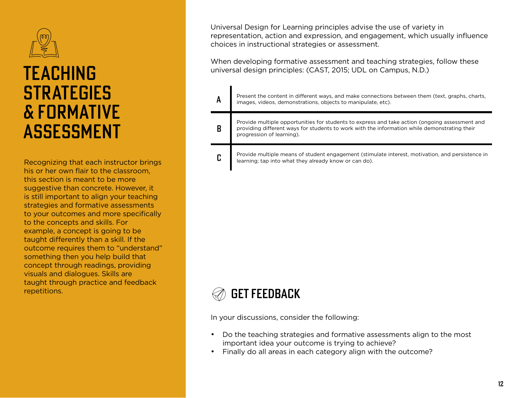

## TEACHING **STRATEGIES** & FORMATIVE ASSESSMENT

Recognizing that each instructor brings his or her own flair to the classroom, this section is meant to be more suggestive than concrete. However, it is still important to align your teaching strategies and formative assessments to your outcomes and more specifically to the concepts and skills. For example, a concept is going to be taught differently than a skill. If the outcome requires them to "understand" something then you help build that concept through readings, providing visuals and dialogues. Skills are taught through practice and feedback repetitions.

Universal Design for Learning principles advise the use of variety in representation, action and expression, and engagement, which usually influence choices in instructional strategies or assessment.

When developing formative assessment and teaching strategies, follow these universal design principles: (CAST, 2015; UDL on Campus, N.D.)

| A | Present the content in different ways, and make connections between them (text, graphs, charts,<br>images, videos, demonstrations, objects to manipulate, etc).                                                             |
|---|-----------------------------------------------------------------------------------------------------------------------------------------------------------------------------------------------------------------------------|
| B | Provide multiple opportunities for students to express and take action (ongoing assessment and<br>providing different ways for students to work with the information while demonstrating their<br>progression of learning). |
| C | Provide multiple means of student engagement (stimulate interest, motivation, and persistence in<br>learning; tap into what they already know or can do).                                                                   |



In your discussions, consider the following:

- Do the teaching strategies and formative assessments align to the most important idea your outcome is trying to achieve?
- Finally do all areas in each category align with the outcome?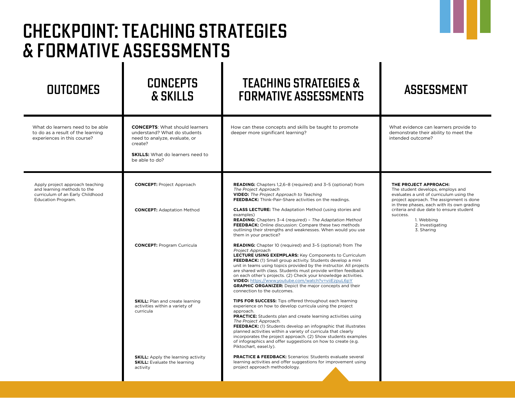### OUTCOMES CONCEPTS & SKILLS TEACHING STRATEGIES & FORMATIVE ASSESSMENTS ASSESSMENT What do learners need to be able to do as a result of the learning experiences in this course? **CONCEPTS**: What should learners understand? What do students need to analyze, evaluate, or create? **SKILLS:** What do learners need to be able to do? How can these concepts and skills be taught to promote deeper more significant learning? What evidence can learners provide to demonstrate their ability to meet the intended outcome? **CONCEPT:** Project Approach **CONCEPT:** Adaptation Method **CONCEPT:** Program Curricula **SKILL:** Plan and create learning activities within a variety of curricula **SKILL:** Apply the learning activity **SKILL:** Evaluate the learning activity **READING:** Chapters 1,2,6–8 (required) and 3–5 (optional) from The Project Approach **VIDEO:** The Project Approach to Teaching **FEEDBACK:** Think-Pair-Share activities on the readings. **CLASS LECTURE:** The Adaptation Method (using stories and examples) **READING:** Chapters 3–4 (required) – The Adaptation Method **FEEDBACK:** Online discussion: Compare these two methods outlining their strengths and weaknesses. When would you use them in your practice? **READING:** Chapter 10 (required) and 3–5 (optional) from The Project Approach **LECTURE USING EXEMPLARS:** Key Components to Curriculum **FEEDBACK:** (1) Small group activity. Students develop a mini unit in teams using topics provided by the instructor. All projects are shared with class. Students must provide written feedback on each other's projects. (2) Check your knowledge activities. **VIDEO:** https://www.youtube.com/watch?v=viiEzpuL6p[Y](http:// ) **GRAPHIC ORGANIZER:** Depict the major concepts and their connection to the outcomes. **TIPS FOR SUCCESS:** Tips offered throughout each learning experience on how to develop curricula using the project approach. **PRACTICE:** Students plan and create learning activities using The Project Approach. **FEEDBACK:** (1) Students develop an infographic that illustrates planned activities within a variety of curricula that clearly incorporates the project approach. (2) Show students examples of infographics and offer suggestions on how to create (e.g. Piktochart, easel.ly). **PRACTICE & FEEDBACK:** Scenarios: Students evaluate several learning activities and offer suggestions for improvement using project approach methodology. Apply project approach teaching and learning methods to the curriculum of an Early Childhood Education Program. **THE PROJECT APPROACH:** The student develops, employs and evaluates a unit of curriculum using the project approach. The assignment is done in three phases, each with its own grading criteria and due date to ensure student success. 1. Webbing 2. Investigating 3. Sharing CHECKPOINT: TEACHING STRATEGIES & FORMATIVE ASSESSMENTS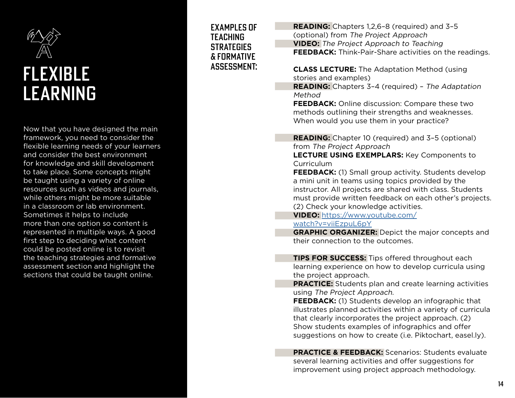

# FLEXIBLE LEARNING

Now that you have designed the main framework, you need to consider the flexible learning needs of your learners and consider the best environment for knowledge and skill development to take place. Some concepts might be taught using a variety of online resources such as videos and journals, while others might be more suitable in a classroom or lab environment. Sometimes it helps to include more than one option so content is represented in multiple ways. A good first step to deciding what content could be posted online is to revisit the teaching strategies and formative assessment section and highlight the sections that could be taught online.

EXAMPLES OF TEACHING **STRATEGIES** & FORMATIVE ASSESSMENT:

**READING:** Chapters 1,2,6–8 (required) and 3–5 (optional) from The Project Approach **VIDEO:** The Project Approach to Teaching **FEEDBACK:** Think-Pair-Share activities on the readings.

**CLASS LECTURE:** The Adaptation Method (using stories and examples)

**READING:** Chapters 3–4 (required) – The Adaptation Method

**FEEDBACK:** Online discussion: Compare these two methods outlining their strengths and weaknesses. When would you use them in your practice?

**READING:** Chapter 10 (required) and 3–5 (optional) from The Project Approach

**LECTURE USING EXEMPLARS:** Key Components to Curriculum

**FEEDBACK:** (1) Small group activity. Students develop a mini unit in teams using topics provided by the instructor. All projects are shared with class. Students must provide written feedback on each other's projects. (2) Check your knowledge activities.

**VIDEO:** https://www.youtube.com/ watch?v=viiEzpuL6pY

**GRAPHIC ORGANIZER:** Depict the major concepts and their connection to the outcomes.

**TIPS FOR SUCCESS:** Tips offered throughout each learning experience on how to develop curricula using the project approach.

**PRACTICE:** Students plan and create learning activities using The Project Approach.

**FEEDBACK:** (1) Students develop an infographic that illustrates planned activities within a variety of curricula that clearly incorporates the project approach. (2) Show students examples of infographics and offer suggestions on how to create (i.e. Piktochart, easel.ly).

**PRACTICE & FEEDBACK:** Scenarios: Students evaluate several learning activities and offer suggestions for improvement using project approach methodology.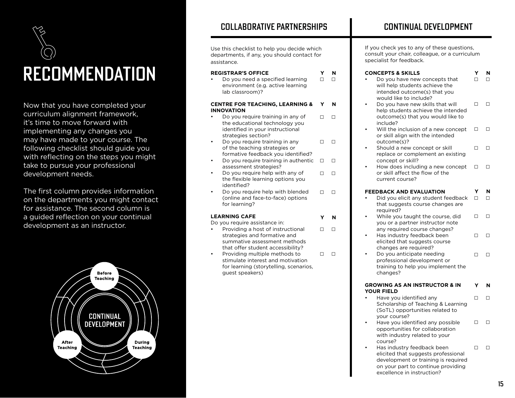

Now that you have completed your curriculum alignment framework, it's time to move forward with implementing any changes you may have made to your course. The following checklist should guide you with reflecting on the steps you might take to pursue your professional development needs.

The first column provides information on the departments you might contact for assistance. The second column is a guided reflection on your continual development as an instructor.



## COLLABORATIVE PARTNERSHIPS

Use this checklist to help you decide which departments, if any, you should contact for assistance.

### **REGISTRAR'S OFFICE**

• Do you need a specified learning environment (e.g. active learning lab classroom)? **Y N**

#### **CENTRE FOR TEACHING, LEARNING & INNOVATION Y N**

- Do you require training in any of the educational technology you identified in your instructional strategies section? □ □
- Do you require training in any of the teaching strategies or formative feedback you identified? □ □
- Do you require training in authentic assessment strategies? □ □
- Do you require help with any of the flexible learning options you identified? □ □
- Do you require help with blended (online and face-to-face) options for learning? □ □

**Y N**

### **LEARNING CAFE**

Do you require assistance in:

- Providing a host of instructional strategies and formative and summative assessment methods that offer student accessibility? □ □
- Providing multiple methods to stimulate interest and motivation for learning (storytelling, scenarios, guest speakers) □ □

If you check yes to any of these questions, consult your chair, colleague, or a curriculum specialist for feedback.

### **CONCEPTS & SKILLS Y N**

- □ □ Do you have new concepts that □ □ will help students achieve the intended outcome(s) that you would like to include?
	- Do you have new skills that will help students achieve the intended outcome(s) that you would like to include? □ □
	- Will the inclusion of a new concept or skill align with the intended outcome(s)? □ □
	- Should a new concept or skill replace or complement an existing concept or skill? □ □
	- How does including a new concept  $□ □$ or skill affect the flow of the current course?

#### **FEEDBACK AND EVALUATION Y N**

- Did you elicit any student feedback that suggests course changes are required? □ □
- While you taught the course, did you or a partner instructor note any required course changes? □ □
- Has industry feedback been elicited that suggests course changes are required? □ □
- Do you anticipate needing professional development or training to help you implement the changes? □ □

#### **GROWING AS AN INSTRUCTOR & IN YOUR FIELD Y N**

- Have you identified any Scholarship of Teaching & Learning (SoTL) opportunities related to your course? □ □
- Have you identified any possible opportunities for collaboration with industry related to your course? □ □
- Has industry feedback been elicited that suggests professional development or training is required on your part to continue providing excellence in instruction? □ □